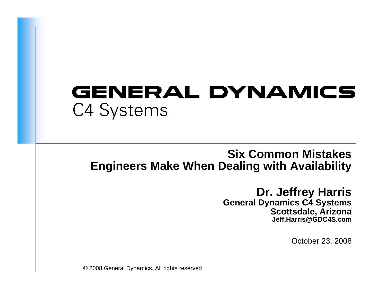# **GENERAL DYNAMICS** C4 Systems

### **Six Common Mistakes Engineers Make When Dealing with Availability**

### **Dr. Jeffrey Harris**

**General Dynamics C4 Systems Scottsdale, Arizona Jeff.Harris@GDC4S.com**

October 23, 2008

© 2008 General Dynamics. All rights reserved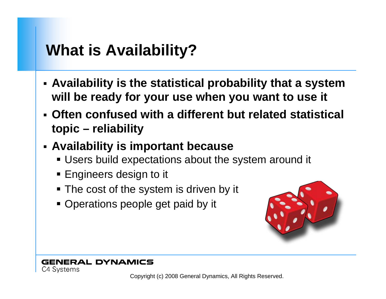# **What is Availability?**

- **Availability is the statistical probability that a system will be ready for your use when you want to use it**
- **Often confused with a different but related statistical topic – reliability**
- **Availability is important because**
	- Users build expectations about the system around it
	- $\textcolor{red}{\bullet}$  Engineers design to it
	- The cost of the system is driven by it
	- Operations people get paid by it



#### **GENERAL DYNAMICS** C4 Systems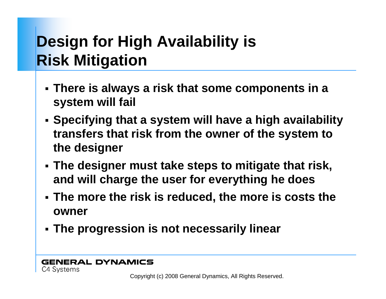# **Design for High Availability is Risk Mitigation**

- **There is always a risk that some components in a system will fail**
- **Specifying that a system will have a high availability transfers that risk from the owner of the system to the designer**
- **The designer must take steps to mitigate that risk, and will charge the user for everything he does**
- **The more the risk is reduced, the more is costs the owner**
- **The progression is not necessarily linear**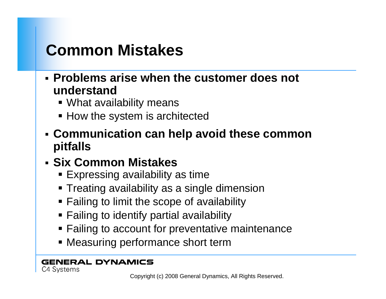# **Common Mistakes**

- **Problems arise when the customer does not understand**
	- What availability means
	- How the system is architected
- **Communication can help avoid these common pitfalls**

### **Six Common Mistakes**

- Expressing availability as time
- Treating availability as a single dimension
- Failing to limit the scope of availability
- Failing to identify partial availability
- **Failing to account for preventative maintenance**
- Measuring performance short term

#### **GENERAL DYNAMICS** C4 Systems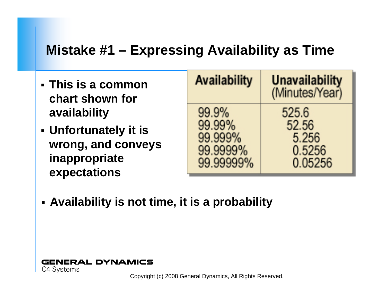## **Mistake #1 – Expressing Availability as Time**

- **This is a common chart shown for availability**
- **Unfortunately it is wrong, and conveys inappropriate expectations**

| <b>Availability</b>                    |           | <b>Unavailability</b><br>(Minutes/Year)      |
|----------------------------------------|-----------|----------------------------------------------|
| 99.9%<br>99.99%<br>99.999%<br>99.9999% | 99.99999% | 525.6<br>52.56<br>5.256<br>0.5256<br>0.05256 |

**Availability is not time, it is a probability**

**GENERAL DYNAMICS** C4 Systems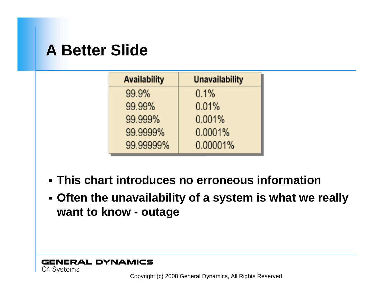## **A Better Slide**

| <b>Availability</b> | <b>Unavailability</b> |
|---------------------|-----------------------|
| 99.9%               | 0.1%                  |
| 99.99%              | 0.01%                 |
| 99.999%             | 0.001%                |
| 99.9999%            | 0.0001%               |
| 99.99999%           | 0.00001%              |

- **This chart introduces no erroneous information**
- **Often the unavailability of a system is what we really want to know - outage**

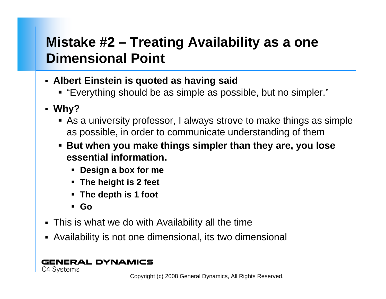## **Mistake #2 – Treating Availability as a one Dimensional Point**

- **Albert Einstein is quoted as having said**
	- "Everything should be as simple as possible, but no simpler."
- **Why?**
	- As a university professor, I always strove to make things as simple as possible, in order to communicate understanding of them
	- **But when you make things simpler than they are, you lose essential information.**
		- **Design a box for me**
		- **The height is 2 feet**
		- **The depth is 1 foot**
		- **Go**
- This is what we do with Availability all the time
- Availability is not one dimensional, its two dimensional

#### **GENERAL DYNAMICS** C4 Systems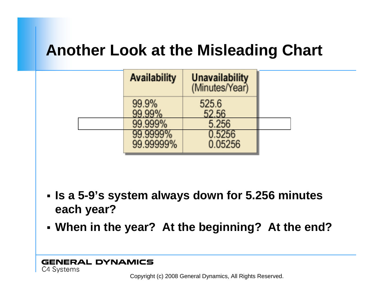# **Another Look at the Misleading Chart**

| <b>Availability</b>   | <b>Unavailability</b><br>(Minutes/Year) |  |
|-----------------------|-----------------------------------------|--|
| 99.9%<br>99.99%       | 525.6<br>52.56                          |  |
| 99.999%               | 5.256                                   |  |
| 99.9999%<br>99.99999% | 0.5256<br>0.05256                       |  |

- **Is a 5-9's system always down for 5.256 minutes each year?**
- **When in the year? At the beginning? At the end?**

#### **GENERAL DYNAMICS** C4 Systems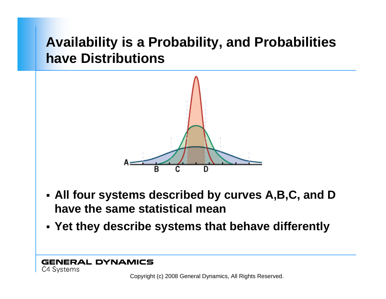## **Availability is a Probability, and Probabilities have Distributions**



- **All four systems described by curves A,B,C, and D have the same statistical mean**
- **Yet they describe systems that behave differently**

**GENERAL DYNAMICS** C4 Systems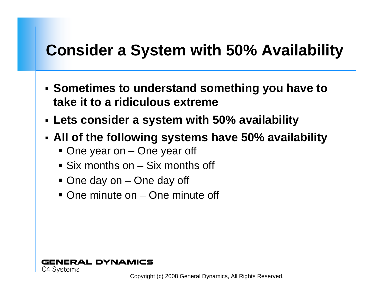# **Consider a System with 50% Availability**

- **Sometimes to understand something you have to take it to a ridiculous extreme**
- **Lets consider a system with 50% availability**
- **All of the following systems have 50% availability**
	- One year on One year off
	- Six months on Six months off
	- One day on One day off
	- One minute on One minute off

#### **GENERAL DYNAMICS** C4 Systems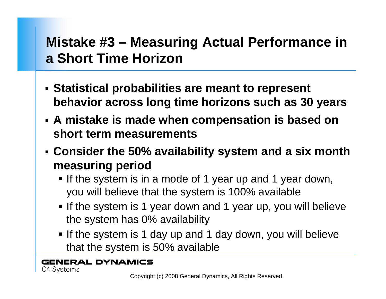## **Mistake #3 – Measuring Actual Performance in a Short Time Horizon**

- **Statistical probabilities are meant to represent behavior across long time horizons such as 30 years**
- **A mistake is made when compensation is based on short term measurements**
- **Consider the 50% availability system and a six month measuring period**
	- If the system is in a mode of 1 year up and 1 year down, you will believe that the system is 100% available
	- If the system is 1 year down and 1 year up, you will believe the system has 0% availability
	- If the system is 1 day up and 1 day down, you will believe that the system is 50% available

**GENERAL DYNAMICS** C4 Systems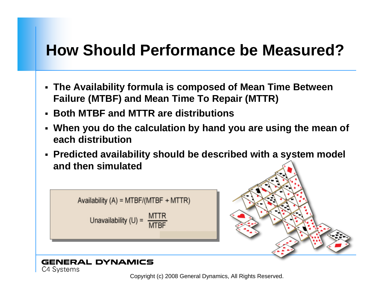## **How Should Performance be Measured?**

- **The Availability formula is composed of Mean Time Between Failure (MTBF) and Mean Time To Repair (MTTR)**
- **Both MTBF and MTTR are distributions**
- **When you do the calculation by hand you are using the mean of each distribution**
- **Predicted availability should be described with a system model and then simulated**





#### **GENERAL DYNAMICS** C4 Systems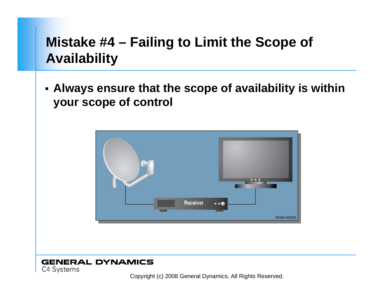## **Mistake #4 – Failing to Limit the Scope of Availability**

 **Always ensure that the scope of availability is within your scope of control**



#### **GENERAL DYNAMICS** C4 Systems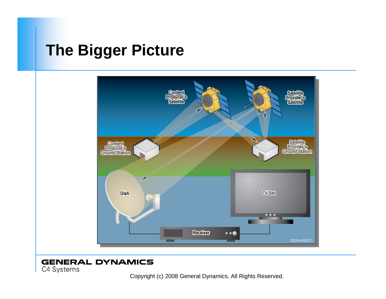## **The Bigger Picture**



#### **GENERAL DYNAMICS**

C4 Systems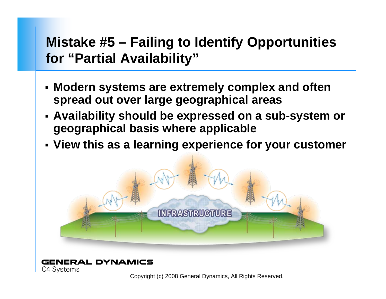## **Mistake #5 – Failing to Identify Opportunities for "Partial Availability"**

- **Modern systems are extremely complex and often spread out over large geographical areas**
- **Availability should be expressed on a sub-system or geographical basis where applicable**
- **View this as a learning experience for your customer**



#### **GENERAL DYNAMICS** C4 Systems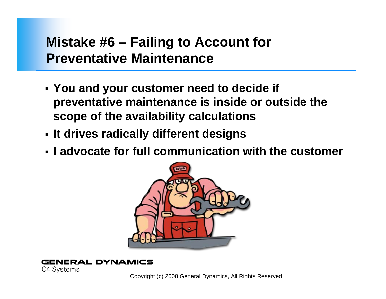### **Mistake #6 – Failing to Account for Preventative Maintenance**

- **You and your customer need to decide if preventative maintenance is inside or outside the scope of the availability calculations**
- **It drives radically different designs**
- **I advocate for full communication with the customer**



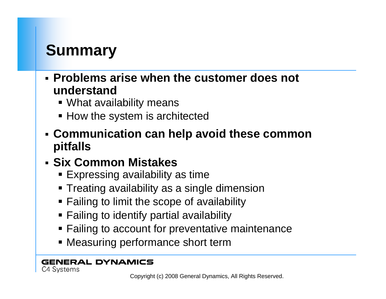# **Summary**

- **Problems arise when the customer does not understand**
	- What availability means
	- How the system is architected
- **Communication can help avoid these common pitfalls**

### **Six Common Mistakes**

- Expressing availability as time
- Treating availability as a single dimension
- Failing to limit the scope of availability
- Failing to identify partial availability
- **Failing to account for preventative maintenance**
- Measuring performance short term

#### **GENERAL DYNAMICS** C4 Systems